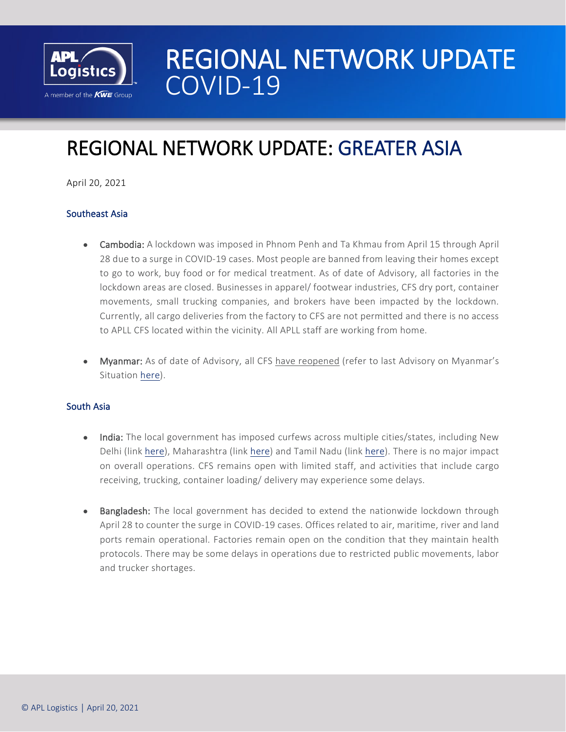

## REGIONAL NETWORK UPDATE<br>COVID-19

## REGIONAL NETWORK UPDATE: GREATER ASIA

April 20, 2021

## Southeast Asia

- Cambodia: A lockdown was imposed in Phnom Penh and Ta Khmau from April 15 through April 28 due to a surge in COVID-19 cases. Most people are banned from leaving their homes except to go to work, buy food or for medical treatment. As of date of Advisory, all factories in the lockdown areas are closed. Businesses in apparel/ footwear industries, CFS dry port, container movements, small trucking companies, and brokers have been impacted by the lockdown. Currently, all cargo deliveries from the factory to CFS are not permitted and there is no access to APLL CFS located within the vicinity. All APLL staff are working from home.
- Myanmar: As of date of Advisory, all CFS have reopened (refer to last Advisory on Myanmar's Situation [here\)](https://www.apllogistics.com/2021/03/customer-advisory-advisory-on-myanmars-situation-update-2).

## South Asia

- India: The local government has imposed curfews across multiple cities/states, including New Delhi (link [here\)](https://www.indiatvnews.com/news/india/delhi-lockdown-news-update-covid19-cases-health-emergency-kejriwal-698763), Maharashtra (link [here\)](https://timesofindia.indiatimes.com/city/mumbai/maharashtra-curfew-has-been-in-vain-as-cases-still-on-the-rise-says-min/articleshow/82152334.cms) and Tamil Nadu (link [here\)](https://timesofindia.indiatimes.com/city/chennai/tamil-nadu-announces-night-curfew/articleshow/82130736.cms). There is no major impact on overall operations. CFS remains open with limited staff, and activities that include cargo receiving, trucking, container loading/ delivery may experience some delays.
- **Bangladesh:** The local government has decided to extend the nationwide lockdown through April 28 to counter the surge in COVID-19 cases. Offices related to air, maritime, river and land ports remain operational. Factories remain open on the condition that they maintain health protocols. There may be some delays in operations due to restricted public movements, labor and trucker shortages.